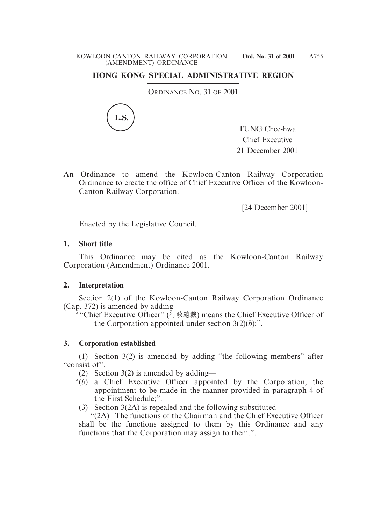# **HONG KONG SPECIAL ADMINISTRATIVE REGION**

ORDINANCE NO. 31 OF 2001



TUNG Chee-hwa Chief Executive 21 December 2001

An Ordinance to amend the Kowloon-Canton Railway Corporation Ordinance to create the office of Chief Executive Officer of the Kowloon-Canton Railway Corporation.

[24 December 2001]

Enacted by the Legislative Council.

## **1. Short title**

This Ordinance may be cited as the Kowloon-Canton Railway Corporation (Amendment) Ordinance 2001.

## **2. Interpretation**

Section 2(1) of the Kowloon-Canton Railway Corporation Ordinance (Cap. 372) is amended by adding—

""Chief Executive Officer" (行政總裁) means the Chief Executive Officer of the Corporation appointed under section  $3(2)(b)$ ;".

## **3. Corporation established**

(1) Section 3(2) is amended by adding "the following members" after "consist of".

- (2) Section 3(2) is amended by adding—
- "(*b*) a Chief Executive Officer appointed by the Corporation, the appointment to be made in the manner provided in paragraph 4 of the First Schedule;".
- (3) Section 3(2A) is repealed and the following substituted—

"(2A) The functions of the Chairman and the Chief Executive Officer shall be the functions assigned to them by this Ordinance and any functions that the Corporation may assign to them.".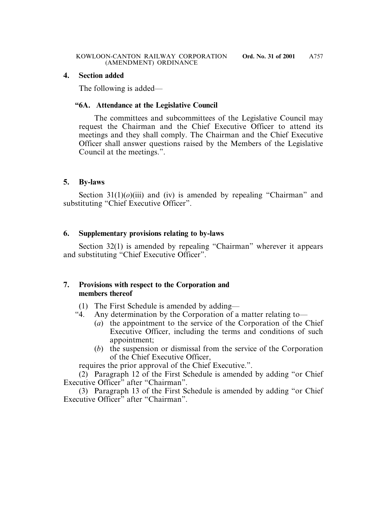### **4. Section added**

The following is added—

# **"6A. Attendance at the Legislative Council**

The committees and subcommittees of the Legislative Council may request the Chairman and the Chief Executive Officer to attend its meetings and they shall comply. The Chairman and the Chief Executive Officer shall answer questions raised by the Members of the Legislative Council at the meetings.".

# **5. By-laws**

Section  $31(1)(o)(iii)$  and (iv) is amended by repealing "Chairman" and substituting "Chief Executive Officer".

# **6. Supplementary provisions relating to by-laws**

Section 32(1) is amended by repealing "Chairman" wherever it appears and substituting "Chief Executive Officer".

# **7. Provisions with respect to the Corporation and members thereof**

- (1) The First Schedule is amended by adding—
- "4. Any determination by the Corporation of a matter relating to—
	- (*a*) the appointment to the service of the Corporation of the Chief Executive Officer, including the terms and conditions of such appointment;
	- (*b*) the suspension or dismissal from the service of the Corporation of the Chief Executive Officer,

requires the prior approval of the Chief Executive.".

(2) Paragraph 12 of the First Schedule is amended by adding "or Chief Executive Officer" after "Chairman".

(3) Paragraph 13 of the First Schedule is amended by adding "or Chief Executive Officer" after "Chairman".